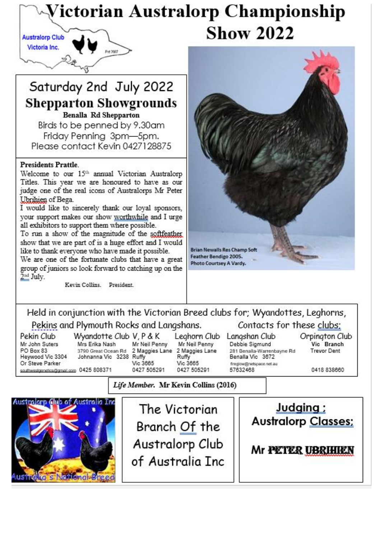## Victorian Australorp Championship **Show 2022 Australorp Club**

# Saturday 2nd July 2022 **Shepparton Showgrounds Benalla Rd Shepparton**

E-4 5007

Birds to be penned by 9.30am Friday Penning 3pm-5pm. Please contact Kevin 0427128875

### **Presidents Prattle.**

Victoria Inc.

Welcome to our 15<sup>th</sup> annual Victorian Australorp Titles. This year we are honoured to have as our judge one of the real icons of Australorps Mr Peter Ubrihien of Bega.

I would like to sincerely thank our loyal sponsors, your support makes our show worthwhile and I urge all exhibitors to support them where possible.

To run a show of the magnitude of the softfeather show that we are part of is a huge effort and I would like to thank everyone who have made it possible.

We are one of the fortunate clubs that have a great group of juniors so look forward to catching up on the 2nd July.

Kevin Collins. President.



Held in conjunction with the Victorian Breed clubs for; Wyandottes, Leghorns, Pekins and Plymouth Rocks and Langshans. Contacts for these clubs:

Pekin Club Mr John Suters PO Box 83 Heywood Vic 3304 Or Steve Parker southwestgenetics@gmail.com 0425 808371

Wyandotte Club V, P & K Mrs Erika Nash 3790 Great Ocean Rd 2 Maggies Lane Johnanna Vic 3238 Ruffy

Mr Neil Penny Vic 3665 0427 505291

Leahorn Club Mr Neil Penny 2 Maggies Lane Ruffy Vic 3665 0427 505291

Langshan Club Debbie Sigmund 281 Benalla-Warrenbayne Rd Benalla Vic 3672 fireriour@netsnace.net.au 57632468

Orpington Club Vic Branch **Trevor Dent** 

0418 838660

Life Member. Mr Kevin Collins (2016)



The Victorian Branch Of the Australorp Club of Australia Inc

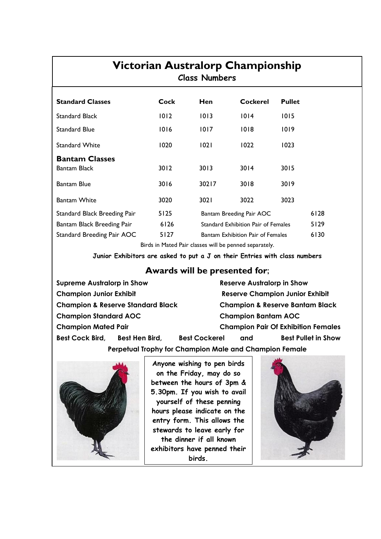## **Victorian Australorp Championship Class Numbers**

| <b>Standard Classes</b>      | Cock | Hen   | <b>Cockerel</b>                          | <b>Pullet</b> |      |
|------------------------------|------|-------|------------------------------------------|---------------|------|
| <b>Standard Black</b>        | 1012 | 1013  | 1014                                     | 1015          |      |
| <b>Standard Blue</b>         | 1016 | 1017  | 1018                                     | 1019          |      |
| <b>Standard White</b>        | 1020 | 1021  | 1022                                     | 1023          |      |
| <b>Bantam Classes</b>        |      |       |                                          |               |      |
| Bantam Black                 | 3012 | 3013  | 3014                                     | 3015          |      |
| <b>Bantam Blue</b>           | 3016 | 30217 | 3018                                     | 3019          |      |
| <b>Bantam White</b>          | 3020 | 302 I | 3022                                     | 3023          |      |
| Standard Black Breeding Pair | 5125 |       | Bantam Breeding Pair AOC                 |               | 6128 |
| Bantam Black Breeding Pair   | 6126 |       | Standard Exhibition Pair of Females      |               |      |
| Standard Breeding Pair AOC   | 5127 |       | <b>Bantam Exhibition Pair of Females</b> |               |      |

Birds in Mated Pair classes will be penned separately.

**Junior Exhibitors are asked to put a J on their Entries with class numbers**

### **Awards will be presented for**;

**Supreme Australorp in Show Reserve Australorp in Show Champion Junior Exhibit Reserve Champion Junior Exhibit Champion & Reserve Standard Black Champion & Reserve Bantam Black Champion Standard AOC Champion Bantam AOC Champion Mated Pair Champion Pair Of Exhibition Females Best Cock Bird, Best Hen Bird, Best Cockerel and Best Pullet in Show Perpetual Trophy for Champion Male and Champion Female**



**Anyone wishing to pen birds on the Friday, may do so between the hours of 3pm & 5.30pm. If you wish to avail yourself of these penning hours please indicate on the entry form. This allows the stewards to leave early for the dinner if all known exhibitors have penned their birds.**

Ī

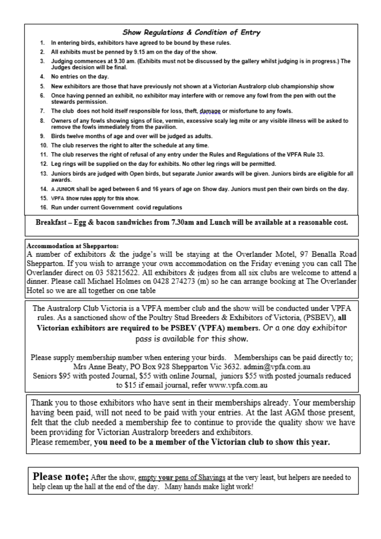### Show Regulations & Condition of Entry

- 1. In entering birds, exhibitors have agreed to be bound by these rules.
- 2. All exhibits must be penned by 9.15 am on the day of the show.
- 3. Judging commences at 9.30 am. (Exhibits must not be discussed by the gallery whilst judging is in progress.) The Judges decision will be final.
- 4. No entries on the day.
- 5. New exhibitors are those that have previously not shown at a Victorian Australorp club championship show
- 6. Once having penned an exhibit, no exhibitor may interfere with or remove any fowl from the pen with out the stewards permission.
- 7. The club does not hold itself responsible for loss, theft, damage or misfortune to any fowls.
- 8. Owners of any fowls showing signs of lice, vermin, excessive scaly leg mite or any visible illness will be asked to remove the fowls immediately from the pavilion.
- 9. Birds twelve months of age and over will be judged as adults.
- 10. The club reserves the right to alter the schedule at any time.
- 11. The club reserves the right of refusal of any entry under the Rules and Regulations of the VPFA Rule 33.
- 12. Leg rings will be supplied on the day for exhibits. No other leg rings will be permitted.
- 13. Juniors birds are judged with Open birds, but separate Junior awards will be given. Juniors birds are eligible for all awards.
- 14. A JUNIOR shall be aged between 6 and 16 years of age on Show day. Juniors must pen their own birds on the day.
- 15. VPFA Show rules apply for this show.
- 16. Run under current Government covid regulations

#### Breakfast - Egg & bacon sandwiches from 7.30am and Lunch will be available at a reasonable cost.

#### Accommodation at Shepparton:

A number of exhibitors & the judge's will be staying at the Overlander Motel, 97 Benalla Road Shepparton. If you wish to arrange your own accommodation on the Friday evening you can call The Overlander direct on 03 58215622. All exhibitors & judges from all six clubs are welcome to attend a dinner. Please call Michael Holmes on 0428 274273 (m) so he can arrange booking at The Overlander Hotel so we are all together on one table

The Australorp Club Victoria is a VPFA member club and the show will be conducted under VPFA rules. As a sanctioned show of the Poultry Stud Breeders & Exhibitors of Victoria, (PSBEV), all Victorian exhibitors are required to be PSBEV (VPFA) members. Or a one day exhibitor pass is available for this show.

Please supply membership number when entering your birds. Memberships can be paid directly to; Mrs Anne Beaty, PO Box 928 Shepparton Vic 3632. admin@vpfa.com.au

Seniors \$95 with posted Journal, \$55 with online Journal, juniors \$55 with posted journals reduced to \$15 if email journal, refer www.vpfa.com.au

Thank you to those exhibitors who have sent in their memberships already. Your membership having been paid, will not need to be paid with your entries. At the last AGM those present, felt that the club needed a membership fee to continue to provide the quality show we have been providing for Victorian Australorp breeders and exhibitors.

Please remember, you need to be a member of the Victorian club to show this year.

**Please note;** After the show, empty your pens of Shavings at the very least, but helpers are needed to help clean up the hall at the end of the day. Many hands make light work!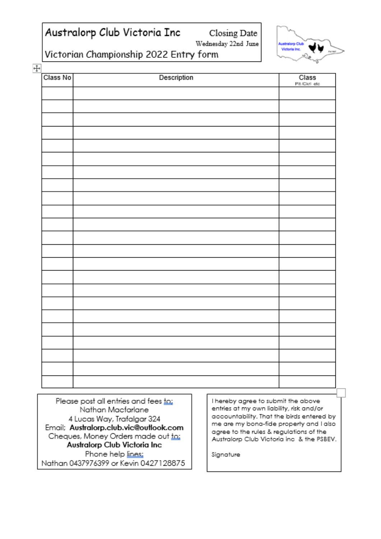## Australorp Club Victoria Inc

Closing Date

Wednesday 22nd June

**Australorp Club** Victoria Inc.

Victorian Championship 2022 Entry form

| Class No | Description | $\frac{Classs}{Pit/Ckrl\_etc}$ |
|----------|-------------|--------------------------------|
|          |             |                                |
|          |             |                                |
|          |             |                                |
|          |             |                                |
|          |             |                                |
|          |             |                                |
|          |             |                                |
|          |             |                                |
|          |             |                                |
|          |             |                                |
|          |             |                                |
|          |             |                                |
|          |             |                                |
|          |             |                                |
|          |             |                                |
|          |             |                                |
|          |             |                                |
|          |             |                                |
|          |             |                                |
|          |             |                                |
|          |             |                                |
|          |             |                                |
|          |             |                                |
|          |             |                                |
|          |             |                                |
|          |             |                                |
|          |             |                                |
|          |             |                                |

Please post all entries and fees to; Nathan Macfarlane 4 Lucas Way, Trafalgar 324 Email; Australorp.club.vic@outlook.com Cheques, Money Orders made out to: Australorp Club Victoria Inc Phone help lines; Nathan 0437976399 or Kevin 0427128875 I hereby agree to submit the above entries at my own liability, risk and/or accountability. That the birds entered by me are my bona-fide property and I also agree to the rules & regulations of the Australorp Club Victoria inc & the PSBEV.

Signature